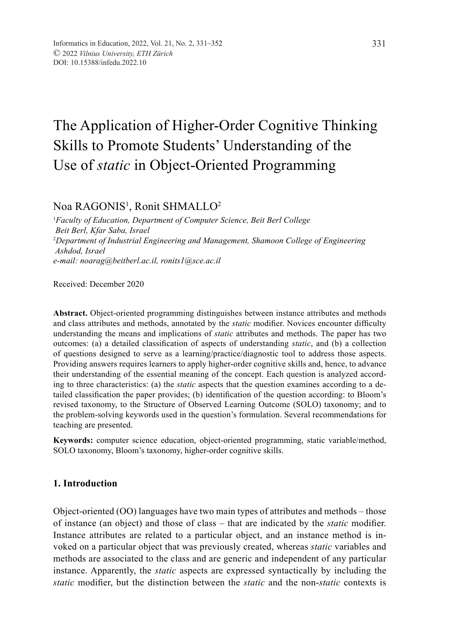# The Application of Higher-Order Cognitive Thinking Skills to Promote Students' Understanding of the Use of *static* in Object-Oriented Programming

# Noa RAGONIS<sup>1</sup>, Ronit SHMALLO<sup>2</sup>

1 *Faculty of Education, Department of Computer Science, Beit Berl College Beit Berl, Kfar Saba, Israel* 2 *Department of Industrial Engineering and Management, Shamoon College of Engineering Ashdod, Israel e-mail: noarag@beitberl.ac.il, ronits1@sce.ac.il*

Received: December 2020

**Abstract.** Object-oriented programming distinguishes between instance attributes and methods and class attributes and methods, annotated by the *static* modifier. Novices encounter difficulty understanding the means and implications of *static* attributes and methods. The paper has two outcomes: (a) a detailed classification of aspects of understanding *static*, and (b) a collection of questions designed to serve as a learning/practice/diagnostic tool to address those aspects. Providing answers requires learners to apply higher-order cognitive skills and, hence, to advance their understanding of the essential meaning of the concept. Each question is analyzed according to three characteristics: (a) the *static* aspects that the question examines according to a detailed classification the paper provides; (b) identification of the question according: to Bloom's revised taxonomy, to the Structure of Observed Learning Outcome (SOLO) taxonomy; and to the problem-solving keywords used in the question's formulation. Several recommendations for teaching are presented.

**Keywords:** computer science education, object-oriented programming, static variable/method, SOLO taxonomy, Bloom's taxonomy, higher-order cognitive skills.

## **1. Introduction**

Object-oriented (OO) languages have two main types of attributes and methods – those of instance (an object) and those of class – that are indicated by the *static* modifier. Instance attributes are related to a particular object, and an instance method is invoked on a particular object that was previously created, whereas *static* variables and methods are associated to the class and are generic and independent of any particular instance. Apparently, the *static* aspects are expressed syntactically by including the *static* modifier, but the distinction between the *static* and the non-*static* contexts is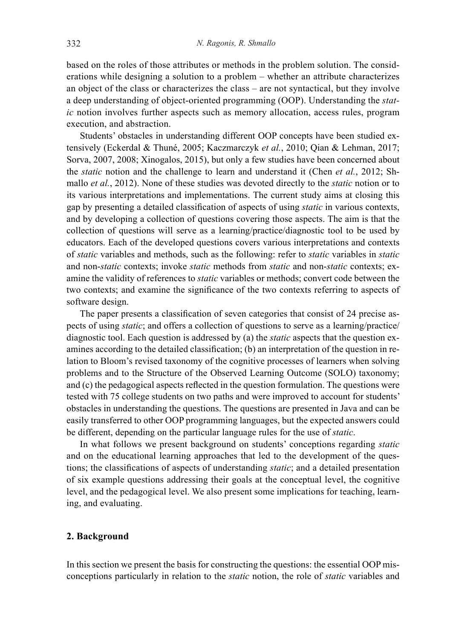based on the roles of those attributes or methods in the problem solution. The considerations while designing a solution to a problem – whether an attribute characterizes an object of the class or characterizes the class – are not syntactical, but they involve a deep understanding of object-oriented programming (OOP). Understanding the *static* notion involves further aspects such as memory allocation, access rules, program execution, and abstraction.

Students' obstacles in understanding different OOP concepts have been studied extensively (Eckerdal & Thuné, 2005; Kaczmarczyk *et al.*, 2010; Qian & Lehman, 2017; Sorva, 2007, 2008; Xinogalos, 2015), but only a few studies have been concerned about the *static* notion and the challenge to learn and understand it (Chen *et al.*, 2012; Shmallo *et al.*, 2012). None of these studies was devoted directly to the *static* notion or to its various interpretations and implementations. The current study aims at closing this gap by presenting a detailed classification of aspects of using *static* in various contexts, and by developing a collection of questions covering those aspects. The aim is that the collection of questions will serve as a learning/practice/diagnostic tool to be used by educators. Each of the developed questions covers various interpretations and contexts of *static* variables and methods, such as the following: refer to *static* variables in *static* and non-*static* contexts; invoke *static* methods from *static* and non-*static* contexts; examine the validity of references to *static* variables or methods; convert code between the two contexts; and examine the significance of the two contexts referring to aspects of software design.

The paper presents a classification of seven categories that consist of 24 precise aspects of using *static*; and offers a collection of questions to serve as a learning/practice/ diagnostic tool. Each question is addressed by (a) the *static* aspects that the question examines according to the detailed classification; (b) an interpretation of the question in relation to Bloom's revised taxonomy of the cognitive processes of learners when solving problems and to the Structure of the Observed Learning Outcome (SOLO) taxonomy; and (c) the pedagogical aspects reflected in the question formulation. The questions were tested with 75 college students on two paths and were improved to account for students' obstacles in understanding the questions. The questions are presented in Java and can be easily transferred to other OOP programming languages, but the expected answers could be different, depending on the particular language rules for the use of *static*.

In what follows we present background on students' conceptions regarding *static* and on the educational learning approaches that led to the development of the questions; the classifications of aspects of understanding *static*; and a detailed presentation of six example questions addressing their goals at the conceptual level, the cognitive level, and the pedagogical level. We also present some implications for teaching, learning, and evaluating.

## **2. Background**

In this section we present the basis for constructing the questions: the essential OOP misconceptions particularly in relation to the *static* notion, the role of *static* variables and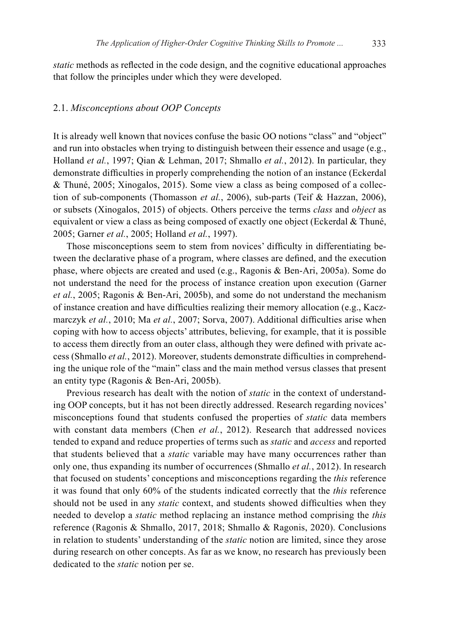*static* methods as reflected in the code design, and the cognitive educational approaches that follow the principles under which they were developed.

## 2.1. *Misconceptions about OOP Concepts*

It is already well known that novices confuse the basic OO notions "class" and "object" and run into obstacles when trying to distinguish between their essence and usage (e.g., Holland *et al.*, 1997; Qian & Lehman, 2017; Shmallo *et al.*, 2012). In particular, they demonstrate difficulties in properly comprehending the notion of an instance (Eckerdal & Thuné, 2005; Xinogalos, 2015). Some view a class as being composed of a collection of sub-components (Thomasson *et al.*, 2006), sub-parts (Teif & Hazzan, 2006), or subsets (Xinogalos, 2015) of objects. Others perceive the terms *class* and *object* as equivalent or view a class as being composed of exactly one object (Eckerdal & Thuné, 2005; Garner *et al.*, 2005; Holland *et al.*, 1997).

Those misconceptions seem to stem from novices' difficulty in differentiating between the declarative phase of a program, where classes are defined, and the execution phase, where objects are created and used (e.g., Ragonis & Ben-Ari, 2005a). Some do not understand the need for the process of instance creation upon execution (Garner *et al.*, 2005; Ragonis & Ben-Ari, 2005b), and some do not understand the mechanism of instance creation and have difficulties realizing their memory allocation (e.g., Kaczmarczyk *et al.*, 2010; Ma *et al.*, 2007; Sorva, 2007). Additional difficulties arise when coping with how to access objects' attributes, believing, for example, that it is possible to access them directly from an outer class, although they were defined with private access (Shmallo *et al.*, 2012). Moreover, students demonstrate difficulties in comprehending the unique role of the "main" class and the main method versus classes that present an entity type (Ragonis & Ben-Ari, 2005b).

Previous research has dealt with the notion of *static* in the context of understanding OOP concepts, but it has not been directly addressed. Research regarding novices' misconceptions found that students confused the properties of *static* data members with constant data members (Chen *et al.*, 2012). Research that addressed novices tended to expand and reduce properties of terms such as *static* and *access* and reported that students believed that a *static* variable may have many occurrences rather than only one, thus expanding its number of occurrences (Shmallo *et al.*, 2012). In research that focused on students' conceptions and misconceptions regarding the *this* reference it was found that only 60% of the students indicated correctly that the *this* reference should not be used in any *static* context, and students showed difficulties when they needed to develop a *static* method replacing an instance method comprising the *this* reference (Ragonis & Shmallo, 2017, 2018; Shmallo & Ragonis, 2020). Conclusions in relation to students' understanding of the *static* notion are limited, since they arose during research on other concepts. As far as we know, no research has previously been dedicated to the *static* notion per se.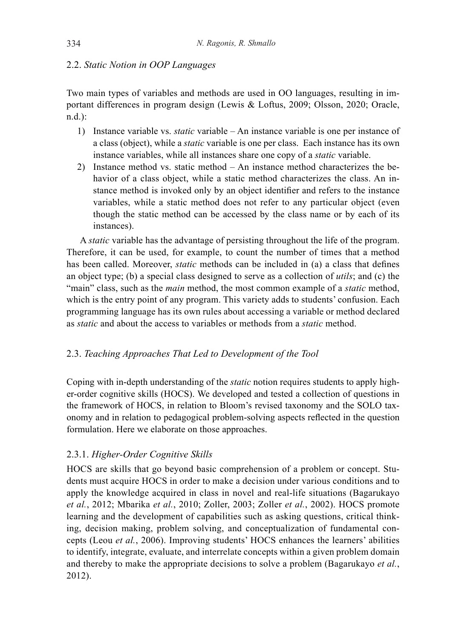## 2.2. *Static Notion in OOP Languages*

Two main types of variables and methods are used in OO languages, resulting in important differences in program design (Lewis & Loftus, 2009; Olsson, 2020; Oracle, n.d.):

- 1) Instance variable vs. *static* variable An instance variable is one per instance of a class (object), while a *static* variable is one per class. Each instance has its own instance variables, while all instances share one copy of a *static* variable.
- 2) Instance method vs. static method An instance method characterizes the behavior of a class object, while a static method characterizes the class. An instance method is invoked only by an object identifier and refers to the instance variables, while a static method does not refer to any particular object (even though the static method can be accessed by the class name or by each of its instances).

A *static* variable has the advantage of persisting throughout the life of the program. Therefore, it can be used, for example, to count the number of times that a method has been called. Moreover, *static* methods can be included in (a) a class that defines an object type; (b) a special class designed to serve as a collection of *utils*; and (c) the "main" class, such as the *main* method, the most common example of a *static* method, which is the entry point of any program. This variety adds to students' confusion. Each programming language has its own rules about accessing a variable or method declared as *static* and about the access to variables or methods from a *static* method.

# 2.3. *Teaching Approaches That Led to Development of the Tool*

Coping with in-depth understanding of the *static* notion requires students to apply higher-order cognitive skills (HOCS). We developed and tested a collection of questions in the framework of HOCS, in relation to Bloom's revised taxonomy and the SOLO taxonomy and in relation to pedagogical problem-solving aspects reflected in the question formulation. Here we elaborate on those approaches.

# 2.3.1. *Higher-Order Cognitive Skills*

HOCS are skills that go beyond basic comprehension of a problem or concept. Students must acquire HOCS in order to make a decision under various conditions and to apply the knowledge acquired in class in novel and real-life situations (Bagarukayo *et al.*, 2012; Mbarika *et al.*, 2010; Zoller, 2003; Zoller *et al.*, 2002). HOCS promote learning and the development of capabilities such as asking questions, critical thinking, decision making, problem solving, and conceptualization of fundamental concepts (Leou *et al.*, 2006). Improving students' HOCS enhances the learners' abilities to identify, integrate, evaluate, and interrelate concepts within a given problem domain and thereby to make the appropriate decisions to solve a problem (Bagarukayo *et al.*, 2012).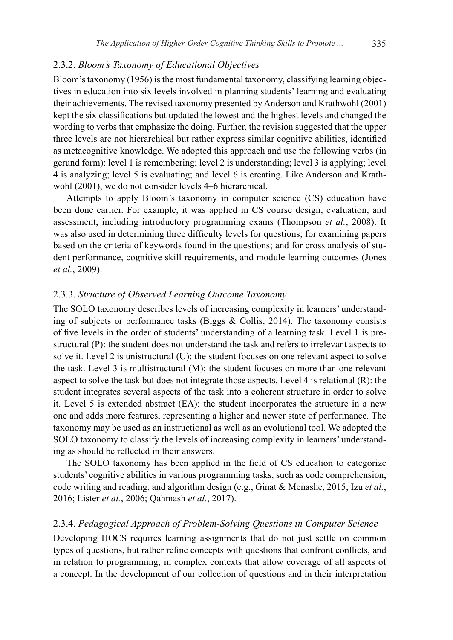#### 2.3.2. *Bloom's Taxonomy of Educational Objectives*

Bloom's taxonomy (1956) is the most fundamental taxonomy, classifying learning objectives in education into six levels involved in planning students' learning and evaluating their achievements. The revised taxonomy presented by Anderson and Krathwohl (2001) kept the six classifications but updated the lowest and the highest levels and changed the wording to verbs that emphasize the doing. Further, the revision suggested that the upper three levels are not hierarchical but rather express similar cognitive abilities, identified as metacognitive knowledge. We adopted this approach and use the following verbs (in gerund form): level 1 is remembering; level 2 is understanding; level 3 is applying; level 4 is analyzing; level 5 is evaluating; and level 6 is creating. Like Anderson and Krathwohl (2001), we do not consider levels 4–6 hierarchical.

Attempts to apply Bloom's taxonomy in computer science (CS) education have been done earlier. For example, it was applied in CS course design, evaluation, and assessment, including introductory programming exams (Thompson *et al.*, 2008). It was also used in determining three difficulty levels for questions; for examining papers based on the criteria of keywords found in the questions; and for cross analysis of student performance, cognitive skill requirements, and module learning outcomes (Jones *et al.*, 2009).

#### 2.3.3. *Structure of Observed Learning Outcome Taxonomy*

The SOLO taxonomy describes levels of increasing complexity in learners' understanding of subjects or performance tasks (Biggs  $\&$  Collis, 2014). The taxonomy consists of five levels in the order of students' understanding of a learning task. Level 1 is prestructural (P): the student does not understand the task and refers to irrelevant aspects to solve it. Level 2 is unistructural (U): the student focuses on one relevant aspect to solve the task. Level 3 is multistructural (M): the student focuses on more than one relevant aspect to solve the task but does not integrate those aspects. Level 4 is relational (R): the student integrates several aspects of the task into a coherent structure in order to solve it. Level 5 is extended abstract (EA): the student incorporates the structure in a new one and adds more features, representing a higher and newer state of performance. The taxonomy may be used as an instructional as well as an evolutional tool. We adopted the SOLO taxonomy to classify the levels of increasing complexity in learners' understanding as should be reflected in their answers.

The SOLO taxonomy has been applied in the field of CS education to categorize students' cognitive abilities in various programming tasks, such as code comprehension, code writing and reading, and algorithm design (e.g., Ginat & Menashe, 2015; Izu *et al.*, 2016; Lister *et al.*, 2006; Qahmash *et al.*, 2017).

#### 2.3.4. *Pedagogical Approach of Problem-Solving Questions in Computer Science*

Developing HOCS requires learning assignments that do not just settle on common types of questions, but rather refine concepts with questions that confront conflicts, and in relation to programming, in complex contexts that allow coverage of all aspects of a concept. In the development of our collection of questions and in their interpretation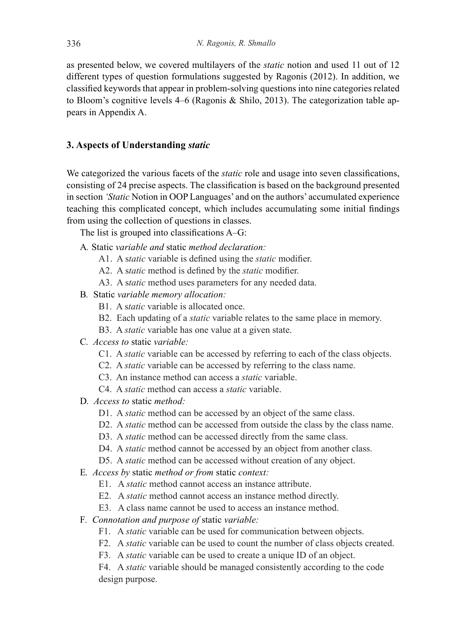as presented below, we covered multilayers of the *static* notion and used 11 out of 12 different types of question formulations suggested by Ragonis (2012). In addition, we classified keywords that appear in problem-solving questions into nine categories related to Bloom's cognitive levels 4–6 (Ragonis & Shilo, 2013). The categorization table appears in Appendix A.

## **3. Aspects of Understanding** *static*

We categorized the various facets of the *static* role and usage into seven classifications, consisting of 24 precise aspects. The classification is based on the background presented in section *'Static* Notion in OOP Languages' and on the authors' accumulated experience teaching this complicated concept, which includes accumulating some initial findings from using the collection of questions in classes.

The list is grouped into classifications A–G:

- A*.* Static *variable and* static *method declaration:*
	- A1. A s*tatic* variable is defined using the *static* modifier.
	- A2. A s*tatic* method is defined by the *static* modifier.
	- A3. A s*tatic* method uses parameters for any needed data.
- B*.* Static *variable memory allocation:* 
	- B1. A s*tatic* variable is allocated once.
	- B2. Each updating of a *static* variable relates to the same place in memory.
	- B3. A *static* variable has one value at a given state.
- C*. Access to* static *variable:*
	- C1. A *static* variable can be accessed by referring to each of the class objects.
	- C2. A *static* variable can be accessed by referring to the class name.
	- C3. An instance method can access a *static* variable.
	- C4. A *static* method can access a *static* variable.
- D*. Access to* static *method:*
	- D1. A *static* method can be accessed by an object of the same class.
	- D2. A *static* method can be accessed from outside the class by the class name.
	- D3. A *static* method can be accessed directly from the same class.
	- D4. A *static* method cannot be accessed by an object from another class.
	- D5. A *static* method can be accessed without creation of any object.
- E*. Access by* static *method or from* static *context:*
	- E1. A *static* method cannot access an instance attribute.
	- E2. A *static* method cannot access an instance method directly.
	- E3. A class name cannot be used to access an instance method.
- F*. Connotation and purpose of* static *variable:* 
	- F1. A *static* variable can be used for communication between objects.
	- F2. A *static* variable can be used to count the number of class objects created.
	- F3. A *static* variable can be used to create a unique ID of an object.

F4. A *static* variable should be managed consistently according to the code design purpose.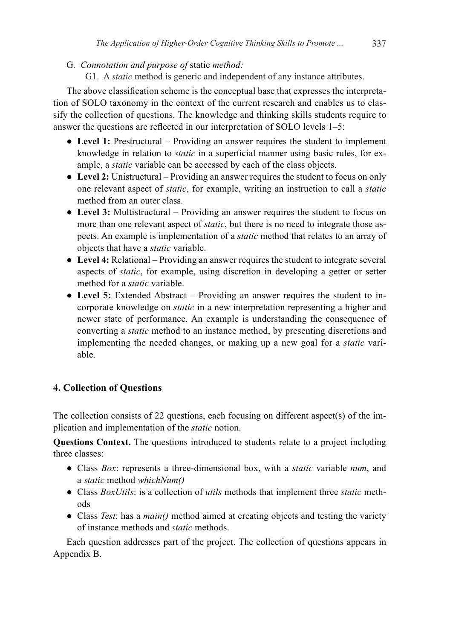G*. Connotation and purpose of* static *method:*

G1. A *static* method is generic and independent of any instance attributes.

The above classification scheme is the conceptual base that expresses the interpretation of SOLO taxonomy in the context of the current research and enables us to classify the collection of questions. The knowledge and thinking skills students require to answer the questions are reflected in our interpretation of SOLO levels 1–5:

- Level 1: Prestructural Providing an answer requires the student to implement knowledge in relation to *static* in a superficial manner using basic rules, for example, a *static* variable can be accessed by each of the class objects.
- **Level 2:** Unistructural Providing an answer requires the student to focus on only one relevant aspect of *static*, for example, writing an instruction to call a *static* method from an outer class.
- **Level 3:** Multistructural Providing an answer requires the student to focus on more than one relevant aspect of *static*, but there is no need to integrate those aspects. An example is implementation of a *static* method that relates to an array of objects that have a *static* variable.
- **Level 4:** Relational Providing an answer requires the student to integrate several aspects of *static*, for example, using discretion in developing a getter or setter method for a *static* variable.
- **Level 5:** Extended Abstract Providing an answer requires the student to incorporate knowledge on *static* in a new interpretation representing a higher and newer state of performance. An example is understanding the consequence of converting a *static* method to an instance method, by presenting discretions and implementing the needed changes, or making up a new goal for a *static* variable.

# **4. Collection of Questions**

The collection consists of 22 questions, each focusing on different aspect(s) of the implication and implementation of the *static* notion.

**Questions Context.** The questions introduced to students relate to a project including three classes:

- Class *Box*: represents a three-dimensional box, with a *static* variable *num*, and a *static* method *whichNum()*
- Class *BoxUtils*: is a collection of *utils* methods that implement three *static* methods
- Class *Test*: has a *main()* method aimed at creating objects and testing the variety of instance methods and *static* methods.

Each question addresses part of the project. The collection of questions appears in Appendix B.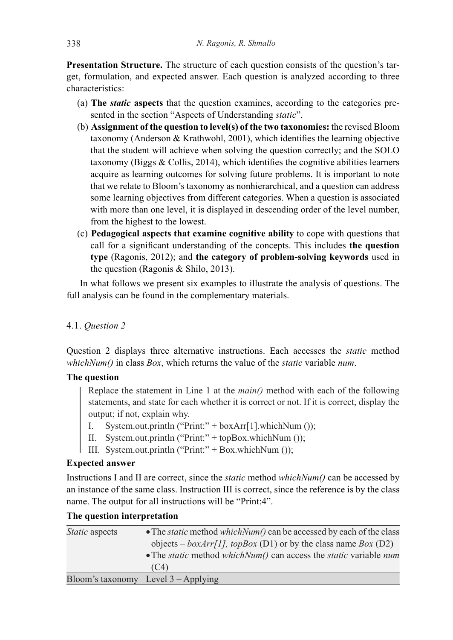**Presentation Structure.** The structure of each question consists of the question's target, formulation, and expected answer. Each question is analyzed according to three characteristics:

- (a) **The** *static* **aspects** that the question examines, according to the categories presented in the section "Aspects of Understanding *static*".
- (b) **Assignment of the question to level(s) of the two taxonomies:** the revised Bloom taxonomy (Anderson & Krathwohl, 2001), which identifies the learning objective that the student will achieve when solving the question correctly; and the SOLO taxonomy (Biggs & Collis, 2014), which identifies the cognitive abilities learners acquire as learning outcomes for solving future problems. It is important to note that we relate to Bloom's taxonomy as nonhierarchical, and a question can address some learning objectives from different categories. When a question is associated with more than one level, it is displayed in descending order of the level number, from the highest to the lowest.
- (c) **Pedagogical aspects that examine cognitive ability** to cope with questions that call for a significant understanding of the concepts. This includes **the question type** (Ragonis, 2012); and **the category of problem-solving keywords** used in the question (Ragonis & Shilo, 2013).

In what follows we present six examples to illustrate the analysis of questions. The full analysis can be found in the complementary materials.

## 4.1. *Question 2*

Question 2 displays three alternative instructions. Each accesses the *static* method *whichNum()* in class *Box*, which returns the value of the *static* variable *num*.

## **The question**

Replace the statement in Line 1 at the *main()* method with each of the following statements, and state for each whether it is correct or not. If it is correct, display the output; if not, explain why.

- I. System.out.println ("Print:" + boxArr[1].whichNum ());
- II. System.out.println ("Print:" + topBox.whichNum ());
- III. System.out.println ("Print:" + Box.whichNum ());

# **Expected answer**

Instructions I and II are correct, since the *static* method *whichNum()* can be accessed by an instance of the same class. Instruction III is correct, since the reference is by the class name. The output for all instructions will be "Print:4".

| <i>Static</i> aspects | • The <i>static</i> method <i>which Num()</i> can be accessed by each of the class<br>objects – $boxArr[1]$ , topBox (D1) or by the class name Box (D2)<br>• The <i>static</i> method <i>whichNum()</i> can access the <i>static</i> variable $num$ |
|-----------------------|-----------------------------------------------------------------------------------------------------------------------------------------------------------------------------------------------------------------------------------------------------|
|                       | (C4)                                                                                                                                                                                                                                                |
|                       | Bloom's taxonomy Level 3 – Applying                                                                                                                                                                                                                 |

## **The question interpretation**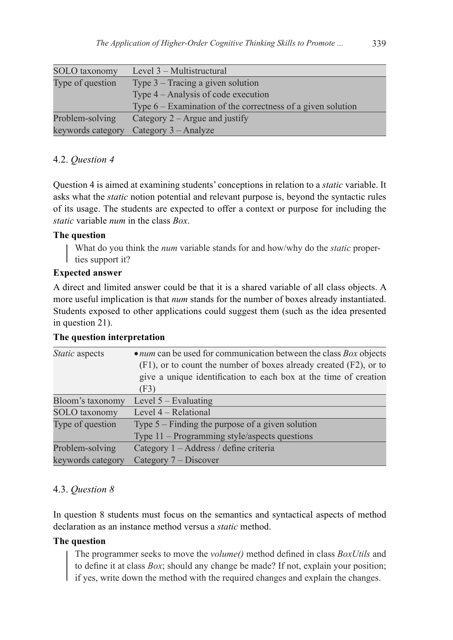| SOLO taxonomy     | Level 3 – Multistructural                                     |
|-------------------|---------------------------------------------------------------|
|                   |                                                               |
| Type of question  | Type $3$ – Tracing a given solution                           |
|                   | Type 4 – Analysis of code execution                           |
|                   | Type $6$ – Examination of the correctness of a given solution |
| Problem-solving   | Category $2 -$ Argue and justify                              |
| keywords category | Category 3 – Analyze                                          |

# 4.2. *Question 4*

Question 4 is aimed at examining students' conceptions in relation to a *static* variable. It asks what the *static* notion potential and relevant purpose is, beyond the syntactic rules of its usage. The students are expected to offer a context or purpose for including the *static* variable *num* in the class *Box*.

# **The question**

What do you think the *num* variable stands for and how/why do the *static* properl ties support it?

# **Expected answer**

A direct and limited answer could be that it is a shared variable of all class objects. A more useful implication is that *num* stands for the number of boxes already instantiated. Students exposed to other applications could suggest them (such as the idea presented in question 21).

| Static aspects    | $\bullet$ <i>num</i> can be used for communication between the class <i>Box</i> objects |
|-------------------|-----------------------------------------------------------------------------------------|
|                   | $(F1)$ , or to count the number of boxes already created $(F2)$ , or to                 |
|                   | give a unique identification to each box at the time of creation                        |
|                   | (F3)                                                                                    |
| Bloom's taxonomy  | Level $5 -$ Evaluating                                                                  |
| SOLO taxonomy     | Level 4 – Relational                                                                    |
| Type of question  | Type $5$ – Finding the purpose of a given solution                                      |
|                   | Type 11 – Programming style/aspects questions                                           |
| Problem-solving   | Category 1 – Address / define criteria                                                  |
| keywords category | Category 7 – Discover                                                                   |

# **The question interpretation**

# 4.3. *Question 8*

In question 8 students must focus on the semantics and syntactical aspects of method declaration as an instance method versus a *static* method.

# **The question**

The programmer seeks to move the *volume()* method defined in class *BoxUtils* and to define it at class *Box*; should any change be made? If not, explain your position; if yes, write down the method with the required changes and explain the changes.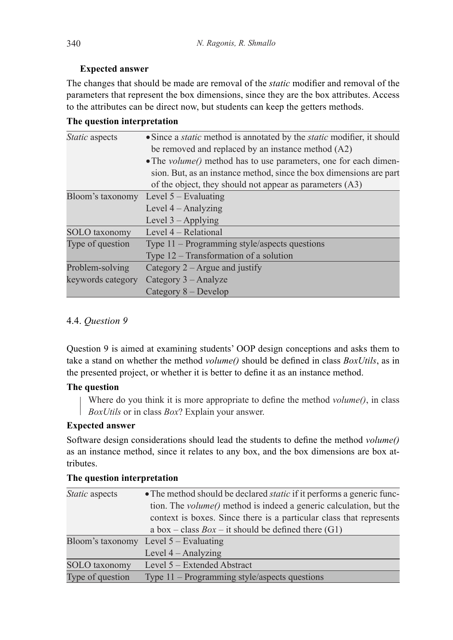## **Expected answer**

The changes that should be made are removal of the *static* modifier and removal of the parameters that represent the box dimensions, since they are the box attributes. Access to the attributes can be direct now, but students can keep the getters methods.

|  | The question interpretation |
|--|-----------------------------|
|--|-----------------------------|

| Static aspects    | • Since a <i>static</i> method is annotated by the <i>static</i> modifier, it should |  |  |  |  |  |  |  |
|-------------------|--------------------------------------------------------------------------------------|--|--|--|--|--|--|--|
|                   | be removed and replaced by an instance method $(A2)$                                 |  |  |  |  |  |  |  |
|                   | • The <i>volume()</i> method has to use parameters, one for each dimen-              |  |  |  |  |  |  |  |
|                   | sion. But, as an instance method, since the box dimensions are part                  |  |  |  |  |  |  |  |
|                   | of the object, they should not appear as parameters (A3)                             |  |  |  |  |  |  |  |
| Bloom's taxonomy  | Level $5 -$ Evaluating                                                               |  |  |  |  |  |  |  |
|                   | Level 4 – Analyzing                                                                  |  |  |  |  |  |  |  |
|                   | Level $3 -$ Applying                                                                 |  |  |  |  |  |  |  |
| SOLO taxonomy     | Level 4 – Relational                                                                 |  |  |  |  |  |  |  |
| Type of question  | Type 11 – Programming style/aspects questions                                        |  |  |  |  |  |  |  |
|                   | Type $12$ – Transformation of a solution                                             |  |  |  |  |  |  |  |
| Problem-solving   | Category $2 -$ Argue and justify                                                     |  |  |  |  |  |  |  |
| keywords category | Category 3 – Analyze                                                                 |  |  |  |  |  |  |  |
|                   | Category $8 -$ Develop                                                               |  |  |  |  |  |  |  |

# 4.4. *Question 9*

Question 9 is aimed at examining students' OOP design conceptions and asks them to take a stand on whether the method *volume()* should be defined in class *BoxUtils*, as in the presented project, or whether it is better to define it as an instance method.

# **The question**

Where do you think it is more appropriate to define the method *volume()*, in class *BoxUtils* or in class *Box*? Explain your answer.

# **Expected answer**

Software design considerations should lead the students to define the method *volume()* as an instance method, since it relates to any box, and the box dimensions are box attributes.

| <i>Static</i> aspects | • The method should be declared <i>static</i> if it performs a generic func- |
|-----------------------|------------------------------------------------------------------------------|
|                       | tion. The <i>volume()</i> method is indeed a generic calculation, but the    |
|                       | context is boxes. Since there is a particular class that represents          |
|                       | a box – class $Box$ – it should be defined there (G1)                        |
|                       | Bloom's taxonomy Level $5 -$ Evaluating                                      |
|                       | Level $4 -$ Analyzing                                                        |
| SOLO taxonomy         | Level 5 – Extended Abstract                                                  |
| Type of question      | Type $11$ – Programming style/aspects questions                              |

## **The question interpretation**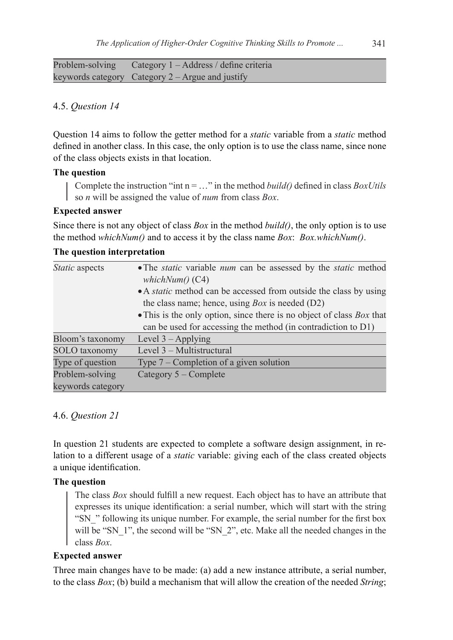Problem-solving keywords category Category 2 – Argue and justify Category 1 – Address / define criteria

#### 4.5. *Question 14*

Question 14 aims to follow the getter method for a *static* variable from a *static* method defined in another class. In this case, the only option is to use the class name, since none of the class objects exists in that location.

## **The question**

Complete the instruction "int n = …" in the method *build()* defined in class *BoxUtils* so *n* will be assigned the value of *num* from class *Box*.

#### **Expected answer**

Since there is not any object of class *Box* in the method *build()*, the only option is to use the method *whichNum()* and to access it by the class name *Box*: *Box.whichNum()*.

## **The question interpretation**

| <i>Static</i> aspects | • The <i>static</i> variable <i>num</i> can be assessed by the <i>static</i> method<br>whichNum() (C4) |  |  |  |  |  |  |  |
|-----------------------|--------------------------------------------------------------------------------------------------------|--|--|--|--|--|--|--|
|                       | • A <i>static</i> method can be accessed from outside the class by using                               |  |  |  |  |  |  |  |
|                       |                                                                                                        |  |  |  |  |  |  |  |
|                       | the class name; hence, using $Box$ is needed $(D2)$                                                    |  |  |  |  |  |  |  |
|                       | • This is the only option, since there is no object of class $Box$ that                                |  |  |  |  |  |  |  |
|                       | can be used for accessing the method (in contradiction to D1)                                          |  |  |  |  |  |  |  |
| Bloom's taxonomy      | Level $3 -$ Applying                                                                                   |  |  |  |  |  |  |  |
| SOLO taxonomy         | Level 3 – Multistructural                                                                              |  |  |  |  |  |  |  |
| Type of question      | Type $7$ – Completion of a given solution                                                              |  |  |  |  |  |  |  |
| Problem-solving       | Category 5 – Complete                                                                                  |  |  |  |  |  |  |  |
| keywords category     |                                                                                                        |  |  |  |  |  |  |  |

#### 4.6. *Question 21*

In question 21 students are expected to complete a software design assignment, in relation to a different usage of a *static* variable: giving each of the class created objects a unique identification.

#### **The question**

The class *Box* should fulfill a new request. Each object has to have an attribute that expresses its unique identification: a serial number, which will start with the string "SN" following its unique number. For example, the serial number for the first box will be "SN\_1", the second will be "SN\_2", etc. Make all the needed changes in the class *Box*.

#### **Expected answer**

Three main changes have to be made: (a) add a new instance attribute, a serial number, to the class *Box*; (b) build a mechanism that will allow the creation of the needed *String*;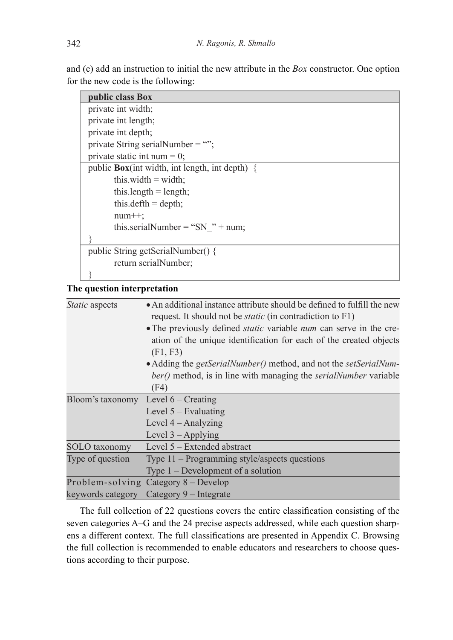and (c) add an instruction to initial the new attribute in the *Box* constructor. One option for the new code is the following:

| public class Box                                 |  |  |  |  |  |  |  |
|--------------------------------------------------|--|--|--|--|--|--|--|
| private int width;                               |  |  |  |  |  |  |  |
| private int length;                              |  |  |  |  |  |  |  |
| private int depth;                               |  |  |  |  |  |  |  |
| private String serialNumber = "";                |  |  |  |  |  |  |  |
| private static int num = 0;                      |  |  |  |  |  |  |  |
| public $Box(int width, int length, int depth)$ { |  |  |  |  |  |  |  |
| this width $=$ width;                            |  |  |  |  |  |  |  |
| this.length $=$ length;                          |  |  |  |  |  |  |  |
| this.defth = depth;                              |  |  |  |  |  |  |  |
| $num++$ ;                                        |  |  |  |  |  |  |  |
| this.serialNumber = "SN " + num;                 |  |  |  |  |  |  |  |
|                                                  |  |  |  |  |  |  |  |
| public String getSerialNumber() {                |  |  |  |  |  |  |  |
| return serialNumber;                             |  |  |  |  |  |  |  |
|                                                  |  |  |  |  |  |  |  |

## **The question interpretation**

| <i>Static</i> aspects | • An additional instance attribute should be defined to fulfill the new          |  |  |  |  |  |  |  |
|-----------------------|----------------------------------------------------------------------------------|--|--|--|--|--|--|--|
|                       | request. It should not be <i>static</i> (in contradiction to F1)                 |  |  |  |  |  |  |  |
|                       | • The previously defined <i>static</i> variable <i>num</i> can serve in the cre- |  |  |  |  |  |  |  |
|                       | ation of the unique identification for each of the created objects               |  |  |  |  |  |  |  |
|                       | (F1, F3)                                                                         |  |  |  |  |  |  |  |
|                       | • Adding the getSerialNumber() method, and not the setSerialNum-                 |  |  |  |  |  |  |  |
|                       | ber() method, is in line with managing the <i>serialNumber</i> variable          |  |  |  |  |  |  |  |
|                       | (F4)                                                                             |  |  |  |  |  |  |  |
| Bloom's taxonomy      | Level $6$ – Creating                                                             |  |  |  |  |  |  |  |
|                       | Level $5 -$ Evaluating                                                           |  |  |  |  |  |  |  |
|                       | Level $4 -$ Analyzing                                                            |  |  |  |  |  |  |  |
|                       | Level $3 -$ Applying                                                             |  |  |  |  |  |  |  |
| SOLO taxonomy         | Level 5 – Extended abstract                                                      |  |  |  |  |  |  |  |
| Type of question      | Type $11$ – Programming style/aspects questions                                  |  |  |  |  |  |  |  |
|                       | Type $1$ – Development of a solution                                             |  |  |  |  |  |  |  |
|                       | Problem-solving Category 8 – Develop                                             |  |  |  |  |  |  |  |
| keywords category     | Category 9 – Integrate                                                           |  |  |  |  |  |  |  |

The full collection of 22 questions covers the entire classification consisting of the seven categories A–G and the 24 precise aspects addressed, while each question sharpens a different context. The full classifications are presented in Appendix C. Browsing the full collection is recommended to enable educators and researchers to choose questions according to their purpose.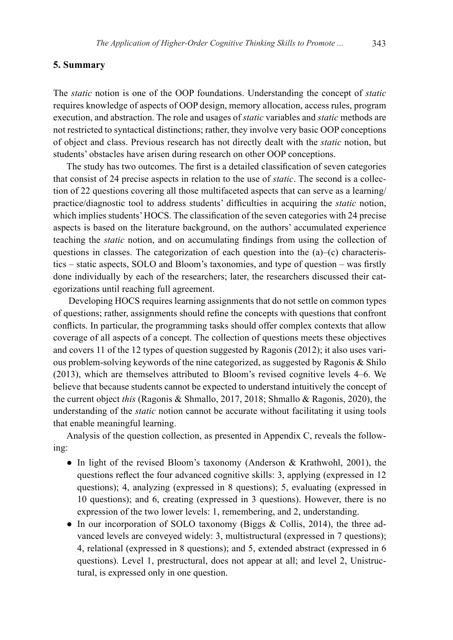#### **5. Summary**

The *static* notion is one of the OOP foundations. Understanding the concept of *static* requires knowledge of aspects of OOP design, memory allocation, access rules, program execution, and abstraction. The role and usages of *static* variables and *static* methods are not restricted to syntactical distinctions; rather, they involve very basic OOP conceptions of object and class. Previous research has not directly dealt with the *static* notion, but students' obstacles have arisen during research on other OOP conceptions.

The study has two outcomes. The first is a detailed classification of seven categories that consist of 24 precise aspects in relation to the use of *static*. The second is a collection of 22 questions covering all those multifaceted aspects that can serve as a learning/ practice/diagnostic tool to address students' difficulties in acquiring the *static* notion, which implies students' HOCS. The classification of the seven categories with 24 precise aspects is based on the literature background, on the authors' accumulated experience teaching the *static* notion, and on accumulating findings from using the collection of questions in classes. The categorization of each question into the  $(a)$ – $(c)$  characteristics – static aspects, SOLO and Bloom's taxonomies, and type of question – was firstly done individually by each of the researchers; later, the researchers discussed their categorizations until reaching full agreement.

 Developing HOCS requires learning assignments that do not settle on common types of questions; rather, assignments should refine the concepts with questions that confront conflicts. In particular, the programming tasks should offer complex contexts that allow coverage of all aspects of a concept. The collection of questions meets these objectives and covers 11 of the 12 types of question suggested by Ragonis (2012); it also uses various problem-solving keywords of the nine categorized, as suggested by Ragonis & Shilo (2013), which are themselves attributed to Bloom's revised cognitive levels 4–6. We believe that because students cannot be expected to understand intuitively the concept of the current object *this* (Ragonis & Shmallo, 2017, 2018; Shmallo & Ragonis, 2020), the understanding of the *static* notion cannot be accurate without facilitating it using tools that enable meaningful learning.

Analysis of the question collection, as presented in Appendix C, reveals the following:

- In light of the revised Bloom's taxonomy (Anderson & Krathwohl, 2001), the questions reflect the four advanced cognitive skills: 3, applying (expressed in 12 questions); 4, analyzing (expressed in 8 questions); 5, evaluating (expressed in 10 questions); and 6, creating (expressed in 3 questions). However, there is no expression of the two lower levels: 1, remembering, and 2, understanding.
- In our incorporation of SOLO taxonomy (Biggs & Collis, 2014), the three advanced levels are conveyed widely: 3, multistructural (expressed in 7 questions); 4, relational (expressed in 8 questions); and 5, extended abstract (expressed in 6 questions). Level 1, prestructural, does not appear at all; and level 2, Unistructural, is expressed only in one question.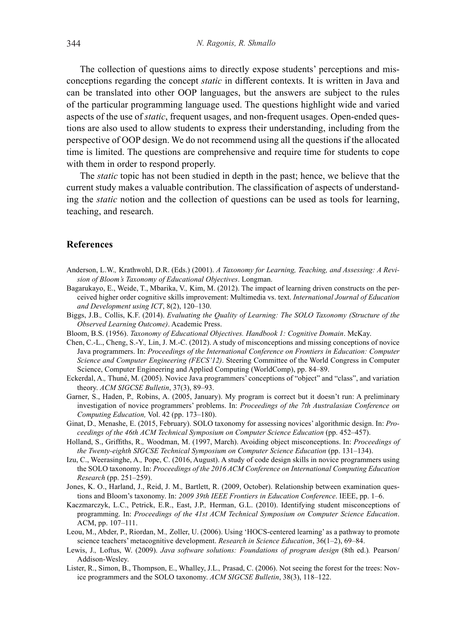The collection of questions aims to directly expose students' perceptions and misconceptions regarding the concept *static* in different contexts. It is written in Java and can be translated into other OOP languages, but the answers are subject to the rules of the particular programming language used. The questions highlight wide and varied aspects of the use of *static*, frequent usages, and non-frequent usages. Open-ended questions are also used to allow students to express their understanding, including from the perspective of OOP design. We do not recommend using all the questions if the allocated time is limited. The questions are comprehensive and require time for students to cope with them in order to respond properly.

The *static* topic has not been studied in depth in the past; hence, we believe that the current study makes a valuable contribution. The classification of aspects of understanding the *static* notion and the collection of questions can be used as tools for learning, teaching, and research.

## **References**

- Anderson, L.W.*,* Krathwohl, D.R. (Eds.) (2001). *A Taxonomy for Learning, Teaching, and Assessing: A Revision of Bloom's Taxonomy of Educational Objectives*. Longman.
- Bagarukayo, E., Weide, T., Mbarika, V.*,* Kim, M. (2012). The impact of learning driven constructs on the perceived higher order cognitive skills improvement: Multimedia vs. text. *International Journal of Education and Development using ICT*, 8(2), 120–130.
- Biggs, J.B.*,* Collis, K.F. (2014). *Evaluating the Quality of Learning: The SOLO Taxonomy (Structure of the Observed Learning Outcome)*. Academic Press.
- Bloom, B.S. (1956). *Taxonomy of Educational Objectives. Handbook 1: Cognitive Domain*. McKay.
- Chen, C.-L., Cheng, S.-Y.*,* Lin, J. M.-C. (2012). A study of misconceptions and missing conceptions of novice Java programmers. In: *Proceedings of the International Conference on Frontiers in Education: Computer Science and Computer Engineering (FECS'12)*. Steering Committee of the World Congress in Computer Science, Computer Engineering and Applied Computing (WorldComp), pp. 84–89.
- Eckerdal, A.*,* Thuné, M. (2005). Novice Java programmers' conceptions of "object" and "class", and variation theory. *ACM SIGCSE Bulletin*, 37(3), 89–93.
- Garner, S., Haden, P.*,* Robins, A. (2005, January). My program is correct but it doesn't run: A preliminary investigation of novice programmers' problems. In: *Proceedings of the 7th Australasian Conference on Computing Education,* Vol. 42 (pp. 173–180).
- Ginat, D.*,* Menashe, E. (2015, February). SOLO taxonomy for assessing novices' algorithmic design. In: *Proceedings of the 46th ACM Technical Symposium on Computer Science Education* (pp. 452–457).
- Holland, S., Griffiths, R.*,* Woodman, M. (1997, March). Avoiding object misconceptions. In: *Proceedings of the Twenty-eighth SIGCSE Technical Symposium on Computer Science Education* (pp. 131–134).
- Izu, C., Weerasinghe, A.*,* Pope, C. (2016, August). A study of code design skills in novice programmers using the SOLO taxonomy. In: *Proceedings of the 2016 ACM Conference on International Computing Education Research* (pp. 251–259).
- Jones, K. O., Harland, J., Reid, J. M.*,* Bartlett, R. (2009, October). Relationship between examination questions and Bloom's taxonomy. In: *2009 39th IEEE Frontiers in Education Conference*. IEEE, pp. 1–6.
- Kaczmarczyk, L.C., Petrick, E.R., East, J.P.*,* Herman, G.L. (2010). Identifying student misconceptions of programming. In: *Proceedings of the 41st ACM Technical Symposium on Computer Science Education*. ACM, pp. 107–111.
- Leou, M., Abder, P., Riordan, M.*,* Zoller, U. (2006). Using 'HOCS-centered learning' as a pathway to promote science teachers' metacognitive development. *Research in Science Education*, 36(1–2), 69–84.
- Lewis, J.*,* Loftus, W. (2009). *Java software solutions: Foundations of program design* (8th ed.)*.* Pearson/ Addison-Wesley.
- Lister, R., Simon, B., Thompson, E., Whalley, J.L.*,* Prasad, C. (2006). Not seeing the forest for the trees: Novice programmers and the SOLO taxonomy. *ACM SIGCSE Bulletin*, 38(3), 118–122.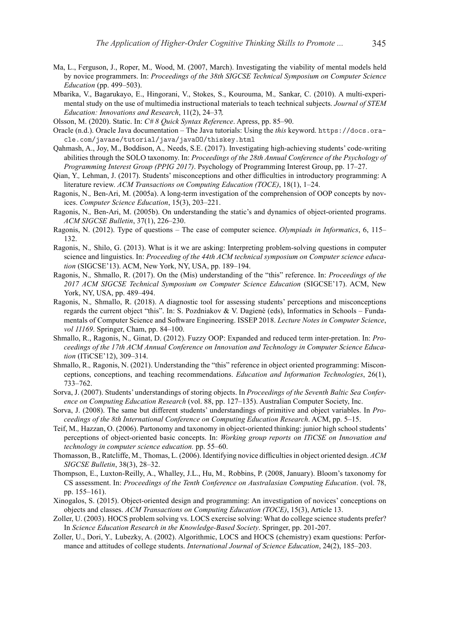- Ma, L., Ferguson, J., Roper, M.*,* Wood, M. (2007, March). Investigating the viability of mental models held by novice programmers. In: *Proceedings of the 38th SIGCSE Technical Symposium on Computer Science Education* (pp. 499–503).
- Mbarika, V., Bagarukayo, E., Hingorani, V., Stokes, S., Kourouma, M.*,* Sankar, C. (2010). A multi-experimental study on the use of multimedia instructional materials to teach technical subjects. *Journal of STEM Education: Innovations and Research*, 11(2), 24–37.

Olsson, M. (2020). Static. In: *C# 8 Quick Syntax Reference*. Apress, pp. 85–90.

- Oracle (n.d.). Oracle Java documentation The Java tutorials: Using the *this* keyword. https://docs.oracle.com/javase/tutorial/java/javaOO/thiskey.html
- Qahmash, A., Joy, M., Boddison, A.*,* Needs, S.E. (2017). Investigating high-achieving students' code-writing abilities through the SOLO taxonomy. In: *Proceedings of the 28th Annual Conference of the Psychology of Programming Interest Group (PPIG 2017)*. Psychology of Programming Interest Group, pp. 17–27.
- Qian, Y.*,* Lehman, J. (2017). Students' misconceptions and other difficulties in introductory programming: A literature review. *ACM Transactions on Computing Education (TOCE)*, 18(1), 1–24.
- Ragonis, N.*,* Ben-Ari, M. (2005a). A long-term investigation of the comprehension of OOP concepts by novices. *Computer Science Education*, 15(3), 203–221.
- Ragonis, N.*,* Ben-Ari, M. (2005b). On understanding the static's and dynamics of object-oriented programs. *ACM SIGCSE Bulletin*, 37(1), 226–230.
- Ragonis, N. (2012). Type of questions The case of computer science. *Olympiads in Informatics*, 6, 115– 132.
- Ragonis, N.*,* Shilo, G. (2013). What is it we are asking: Interpreting problem-solving questions in computer science and linguistics. In: *Proceeding of the 44th ACM technical symposium on Computer science education* (SIGCSE'13). ACM, New York, NY, USA, pp. 189–194.
- Ragonis, N.*,* Shmallo, R. (2017). On the (Mis) understanding of the "this" reference. In: *Proceedings of the 2017 ACM SIGCSE Technical Symposium on Computer Science Education* (SIGCSE'17). ACM, New York, NY, USA, pp. 489–494.
- Ragonis, N.*,* Shmallo, R. (2018). A diagnostic tool for assessing students' perceptions and misconceptions regards the current object "this". In: S. Pozdniakov & V. Dagienė (eds), Informatics in Schools – Fundamentals of Computer Science and Software Engineering. ISSEP 2018. *Lecture Notes in Computer Science*, *vol 11169*. Springer, Cham, pp. 84–100.
- Shmallo, R., Ragonis, N.*,* Ginat, D. (2012). Fuzzy OOP: Expanded and reduced term inter-pretation. In: *Proceedings of the 17th ACM Annual Conference on Innovation and Technology in Computer Science Education* (ITiCSE'12), 309–314.
- Shmallo, R.*,* Ragonis, N. (2021). Understanding the "this" reference in object oriented programming: Misconceptions, conceptions, and teaching recommendations. *Education and Information Technologies*, 26(1), 733–762.
- Sorva, J. (2007). Students' understandings of storing objects. In *Proceedings of the Seventh Baltic Sea Conference on Computing Education Research* (vol. 88, pp. 127–135). Australian Computer Society, Inc.
- Sorva, J. (2008). The same but different students' understandings of primitive and object variables. In *Proceedings of the 8th International Conference on Computing Education Research*. ACM, pp. 5–15.
- Teif, M.*,* Hazzan, O. (2006). Partonomy and taxonomy in object-oriented thinking: junior high school students' perceptions of object-oriented basic concepts. In: *Working group reports on ITiCSE on Innovation and technology in computer science education.* pp. 55–60.
- Thomasson, B., Ratcliffe, M.*,* Thomas, L. (2006). Identifying novice difficulties in object oriented design. *ACM SIGCSE Bulletin*, 38(3), 28–32.
- Thompson, E., Luxton-Reilly, A., Whalley, J.L., Hu, M.*,* Robbins, P. (2008, January). Bloom's taxonomy for CS assessment. In: *Proceedings of the Tenth Conference on Australasian Computing Education*. (vol. 78, pp. 155–161).
- Xinogalos, S. (2015). Object-oriented design and programming: An investigation of novices' conceptions on objects and classes. *ACM Transactions on Computing Education (TOCE)*, 15(3), Article 13.
- Zoller, U. (2003). HOCS problem solving vs. LOCS exercise solving: What do college science students prefer? In *Science Education Research in the Knowledge-Based Society*. Springer, pp. 201-207.
- Zoller, U., Dori, Y.*,* Lubezky, A. (2002). Algorithmic, LOCS and HOCS (chemistry) exam questions: Performance and attitudes of college students. *International Journal of Science Education*, 24(2), 185–203.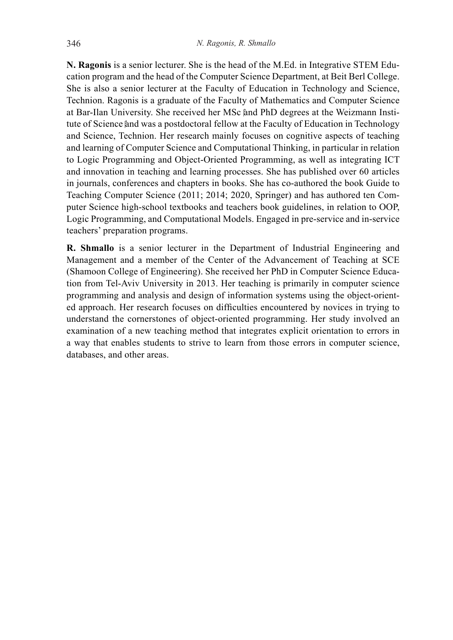**N. Ragonis** is a senior lecturer. She is the head of the M.Ed. in Integrative STEM Education program and the head of the Computer Science Department, at Beit Berl College. She is also a senior lecturer at the Faculty of Education in Technology and Science, Technion. Ragonis is a graduate of the Faculty of Mathematics and Computer Science at Bar-Ilan University. She received her MSc and PhD degrees at the Weizmann Institute of Science and was a postdoctoral fellow at the Faculty of Education in Technology and Science, Technion. Her research mainly focuses on cognitive aspects of teaching and learning of Computer Science and Computational Thinking, in particular in relation to Logic Programming and Object-Oriented Programming, as well as integrating ICT and innovation in teaching and learning processes. She has published over 60 articles in journals, conferences and chapters in books. She has co-authored the book Guide to Teaching Computer Science (2011; 2014; 2020, Springer) and has authored ten Computer Science high-school textbooks and teachers book guidelines, in relation to OOP, Logic Programming, and Computational Models. Engaged in pre-service and in-service teachers' preparation programs.

**R. Shmallo** is a senior lecturer in the Department of Industrial Engineering and Management and a member of the Center of the Advancement of Teaching at SCE (Shamoon College of Engineering). She received her PhD in Computer Science Education from Tel-Aviv University in 2013. Her teaching is primarily in computer science programming and analysis and design of information systems using the object-oriented approach. Her research focuses on difficulties encountered by novices in trying to understand the cornerstones of object-oriented programming. Her study involved an examination of a new teaching method that integrates explicit orientation to errors in a way that enables students to strive to learn from those errors in computer science, databases, and other areas.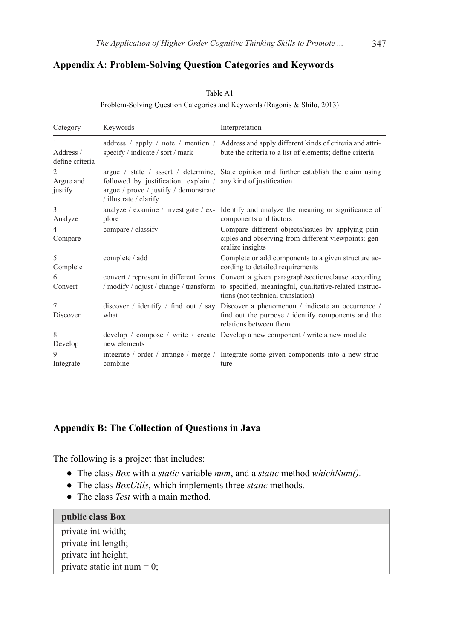## **Appendix A: Problem-Solving Question Categories and Keywords**

Table A1

Problem-Solving Question Categories and Keywords (Ragonis & Shilo, 2013)

| Category                                       | Keywords                                                                                                                          | Interpretation                                                                                                                                                        |
|------------------------------------------------|-----------------------------------------------------------------------------------------------------------------------------------|-----------------------------------------------------------------------------------------------------------------------------------------------------------------------|
| $\mathbf{1}$ .<br>Address /<br>define criteria | specify / indicate / sort / mark                                                                                                  | address / apply / note / mention / Address and apply different kinds of criteria and attri-<br>bute the criteria to a list of elements; define criteria               |
| $\mathfrak{2}$ .<br>Argue and<br>justify       | followed by justification: explain / any kind of justification<br>argue / prove / justify / demonstrate<br>/ illustrate / clarify | argue / state / assert / determine, State opinion and further establish the claim using                                                                               |
| $\overline{3}$ .<br>Analyze                    | plore                                                                                                                             | analyze / examine / investigate / ex- Identify and analyze the meaning or significance of<br>components and factors                                                   |
| 4 <sub>1</sub><br>Compare                      | compare / classify                                                                                                                | Compare different objects/issues by applying prin-<br>ciples and observing from different viewpoints; gen-<br>eralize insights                                        |
| 5.<br>Complete                                 | complete / add                                                                                                                    | Complete or add components to a given structure ac-<br>cording to detailed requirements                                                                               |
| 6.<br>Convert                                  | convert / represent in different forms<br>/ modify / adjust / change / transform                                                  | Convert a given paragraph/section/clause according<br>to specified, meaningful, qualitative-related instruc-<br>tions (not technical translation)                     |
| 7 <sub>1</sub><br>Discover                     | what                                                                                                                              | discover / identify / find out / say Discover a phenomenon / indicate an occurrence /<br>find out the purpose / identify components and the<br>relations between them |
| 8.<br>Develop                                  | new elements                                                                                                                      | develop / compose / write / create Develop a new component / write a new module                                                                                       |
| 9.<br>Integrate                                | combine                                                                                                                           | integrate / order / arrange / merge / Integrate some given components into a new struc-<br>ture                                                                       |

# **Appendix B: The Collection of Questions in Java**

The following is a project that includes:

- The class *Box* with a *static* variable *num*, and a *static* method *whichNum().*
- The class *BoxUtils*, which implements three *static* methods.
- The class *Test* with a main method.

#### **public class Box**

private int width; private int length; private int height; private static int num  $= 0$ ;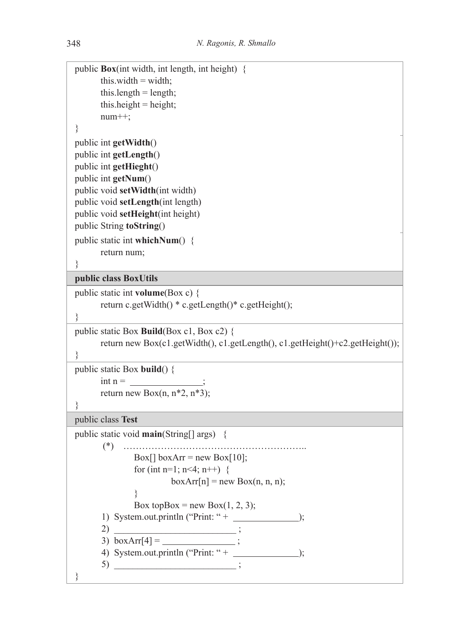```
public Box(int width, int length, int height) {
      this.width = width;
      this.length = length;
      this.height = height;
       num++; 
}
public int getWidth()
public int getLength()
public int getHieght()
public int getNum()
public void setWidth(int width)
public void setLength(int length)
public void setHeight(int height)
public String toString() 
public static int whichNum() {
       return num;
} 
public class BoxUtils 
public static int volume(Box c) {
       return c.getWidth() * c.getLength()* c.getHeight();
}
public static Box Build(Box c1, Box c2) {
       return new Box(c1.getWidth(), c1.getLength(), c1.getHeight()+c2.getHeight());
} 
public static Box build() {
      int n =return new Box(n, n^*2, n^*3);
} 
public class Test 
public static void main(String[] args) {
       (*) …………………………………………………..
              Box[ boxArr = new Box[10];
              for (int n=1; n<4; n++) {
                       boxArr[n] = new Box(n, n, n);
              }
              Box topBox = new Box(1, 2, 3);
      1) System.out.println ("Print: " + \_\_\_\_\_\_\_\_\_\_);
      2)3) boxArr[4] =
      4) System.out.println ("Print: "+);
      5) __________________________ ;
}
```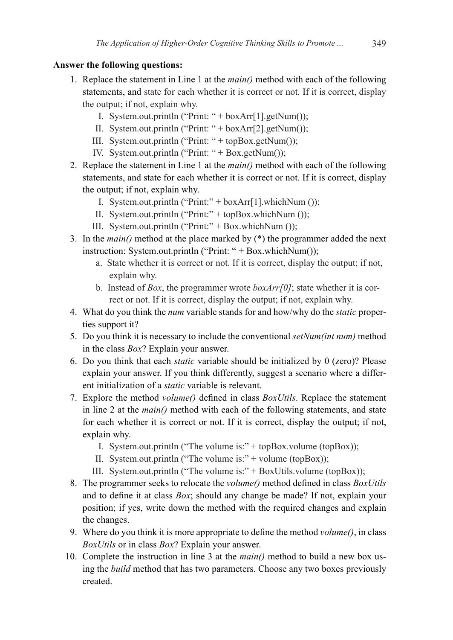## **Answer the following questions:**

- 1. Replace the statement in Line 1 at the *main()* method with each of the following statements, and state for each whether it is correct or not. If it is correct, display the output; if not, explain why.
	- I. System.out.println ("Print: " + boxArr[1].getNum());
	- II. System.out.println ("Print: " + boxArr[2].getNum());
	- III. System.out.println ("Print: " + topBox.getNum());
	- IV. System.out.println ("Print: " + Box.getNum());
- 2. Replace the statement in Line 1 at the *main()* method with each of the following statements, and state for each whether it is correct or not. If it is correct, display the output; if not, explain why.
	- I. System.out.println ("Print:" +  $boxArr1$ ].whichNum ());
	- II. System.out.println ("Print:" + topBox.whichNum ());
	- III. System.out.println ("Print:" + Box.whichNum ());
- 3. In the *main()* method at the place marked by (\*) the programmer added the next instruction: System.out.println ("Print: " + Box.whichNum());
	- a. State whether it is correct or not. If it is correct, display the output; if not, explain why.
	- b. Instead of *Box*, the programmer wrote *boxArr[0]*; state whether it is correct or not. If it is correct, display the output; if not, explain why.
- 4. What do you think the *num* variable stands for and how/why do the *static* properties support it?
- 5. Do you think it is necessary to include the conventional *setNum(int num)* method in the class *Box*? Explain your answer.
- 6. Do you think that each *static* variable should be initialized by 0 (zero)? Please explain your answer. If you think differently, suggest a scenario where a different initialization of a *static* variable is relevant.
- 7. Explore the method *volume()* defined in class *BoxUtils*. Replace the statement in line 2 at the *main()* method with each of the following statements, and state for each whether it is correct or not. If it is correct, display the output; if not, explain why.
	- I. System.out.println ("The volume is:" + topBox.volume (topBox));
	- II. System.out.println ("The volume is:" + volume (topBox));
	- III. System.out.println ("The volume is:" + BoxUtils.volume (topBox));
- 8. The programmer seeks to relocate the *volume()* method defined in class *BoxUtils* and to define it at class *Box*; should any change be made? If not, explain your position; if yes, write down the method with the required changes and explain the changes.
- 9. Where do you think it is more appropriate to define the method *volume()*, in class *BoxUtils* or in class *Box*? Explain your answer.
- 10. Complete the instruction in line 3 at the *main()* method to build a new box using the *build* method that has two parameters. Choose any two boxes previously created.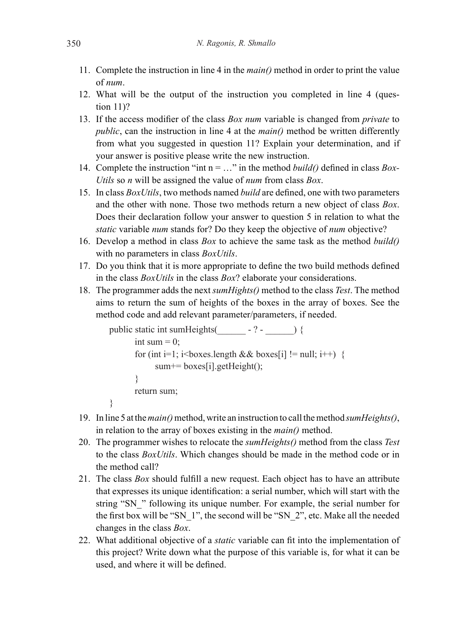- 11. Complete the instruction in line 4 in the *main()* method in order to print the value of *num*.
- 12. What will be the output of the instruction you completed in line 4 (question 11)?
- 13. If the access modifier of the class *Box num* variable is changed from *private* to *public*, can the instruction in line 4 at the *main()* method be written differently from what you suggested in question 11? Explain your determination, and if your answer is positive please write the new instruction.
- 14. Complete the instruction "int n = …" in the method *build()* defined in class *Box-Utils* so *n* will be assigned the value of *num* from class *Box*.
- 15. In class *BoxUtils*, two methods named *build* are defined, one with two parameters and the other with none. Those two methods return a new object of class *Box*. Does their declaration follow your answer to question 5 in relation to what the *static* variable *num* stands for? Do they keep the objective of *num* objective?
- 16. Develop a method in class *Box* to achieve the same task as the method *build()* with no parameters in class *BoxUtils*.
- 17. Do you think that it is more appropriate to define the two build methods defined in the class *BoxUtils* in the class *Box*? elaborate your considerations.
- 18. The programmer adds the next *sumHights()* method to the class *Test*. The method aims to return the sum of heights of the boxes in the array of boxes. See the method code and add relevant parameter/parameters, if needed.

```
public static int sumHeights(\qquad - ? -) {
       int sum = 0;
       for (int i=1; i<br/>boxes.length && boxes[i] != null; i++) {
             sum+= boxes[i].getHeight();
        }
        return sum;
}
```
- 19. In line 5 at the *main()* method, write an instruction to call the method *sumHeights()*, in relation to the array of boxes existing in the *main()* method.
- 20. The programmer wishes to relocate the *sumHeights()* method from the class *Test* to the class *BoxUtils*. Which changes should be made in the method code or in the method call?
- 21. The class *Box* should fulfill a new request. Each object has to have an attribute that expresses its unique identification: a serial number, which will start with the string "SN" rollowing its unique number. For example, the serial number for the first box will be "SN\_1", the second will be "SN\_2", etc. Make all the needed changes in the class *Box*.
- 22. What additional objective of a *static* variable can fit into the implementation of this project? Write down what the purpose of this variable is, for what it can be used, and where it will be defined.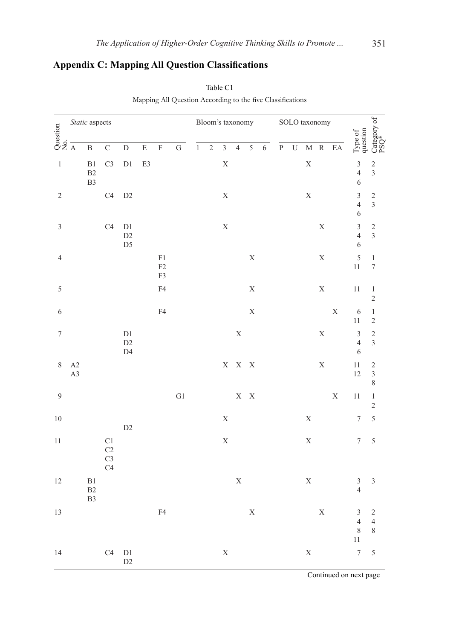# **Appendix C: Mapping All Question Classifications**

|                                            |          |                                  |                                                                                  |                                                           | . .       | $\sim$                       |                         |       |                  | $\check{ }$    |                |                         |                |                |                       |               |                     |                            |                                                             |                                                                 |
|--------------------------------------------|----------|----------------------------------|----------------------------------------------------------------------------------|-----------------------------------------------------------|-----------|------------------------------|-------------------------|-------|------------------|----------------|----------------|-------------------------|----------------|----------------|-----------------------|---------------|---------------------|----------------------------|-------------------------------------------------------------|-----------------------------------------------------------------|
| $rac{5t}{\sqrt{2}}$<br>$rac{5t}{\sqrt{2}}$ |          | Static aspects                   |                                                                                  |                                                           |           |                              |                         |       | Bloom's taxonomy |                |                |                         |                |                |                       | SOLO taxonomy |                     |                            |                                                             | Category of $ PSQ^*$                                            |
|                                            |          | $\, {\bf B}$                     | $\overline{C}$                                                                   | $\mathbf D$                                               | ${\bf E}$ | $\overline{F}$               | $\overline{\mathbf{G}}$ | $\,1$ | $\overline{c}$   | $\mathfrak{Z}$ | $\overline{4}$ | 5                       | $\overline{6}$ | $\overline{P}$ | $\overline{\text{U}}$ |               | $\mathbf{M}$ $\,$ R | $\mathop{\rm EA}\nolimits$ | Type of<br>question                                         |                                                                 |
| $\,1\,$                                    |          | $\rm B1$<br>B2<br>B <sub>3</sub> | C <sub>3</sub>                                                                   | $\mathop{\rm D}\nolimits1$                                | E3        |                              |                         |       |                  | $\mathbf X$    |                |                         |                |                |                       | $\mathbf X$   |                     |                            | $\frac{3}{4}$<br>$\overline{6}$                             | $\frac{2}{3}$                                                   |
| $\sqrt{2}$                                 |          |                                  | C <sub>4</sub>                                                                   | $\rm{D}2$                                                 |           |                              |                         |       |                  | $\mathbf X$    |                |                         |                |                |                       | $\mathbf X$   |                     |                            | $\frac{3}{4}$<br>$\overline{6}$                             | $\frac{2}{3}$                                                   |
| $\mathfrak{Z}$                             |          |                                  | C <sub>4</sub>                                                                   | D1<br>D2<br>D <sub>5</sub>                                |           |                              |                         |       |                  | $\mathbf X$    |                |                         |                |                |                       |               | $\mathbf X$         |                            | $\overline{\mathbf{3}}$<br>$\overline{4}$<br>$\overline{6}$ | $\overline{\mathbf{c}}$<br>$\mathfrak{Z}$                       |
| $\sqrt{4}$                                 |          |                                  |                                                                                  |                                                           |           | ${\rm F}1$<br>$\rm F2$<br>F3 |                         |       |                  |                |                | $\mathbf X$             |                |                |                       |               | $\mathbf X$         |                            | 5<br>11                                                     | $\,1$<br>$\sqrt{ }$                                             |
| 5                                          |          |                                  |                                                                                  |                                                           |           | F4                           |                         |       |                  |                |                | $\mathbf X$             |                |                |                       |               | $\mathbf X$         |                            | $11\,$                                                      | $\,1$<br>$\overline{c}$                                         |
| 6                                          |          |                                  |                                                                                  |                                                           |           | F4                           |                         |       |                  |                |                | $\mathbf X$             |                |                |                       |               |                     | $\mathbf X$                | $\sqrt{6}$<br>$11\,$                                        | $\,1\,$<br>$\overline{\mathbf{c}}$                              |
| $\sqrt{ }$                                 |          |                                  |                                                                                  | $\mathop{\rm D}\nolimits1$<br>$\rm{D}2$<br>D <sub>4</sub> |           |                              |                         |       |                  |                | $\mathbf X$    |                         |                |                |                       |               | $\mathbf X$         |                            | $\overline{3}$<br>$\overline{4}$<br>$\overline{6}$          | $\frac{2}{3}$                                                   |
| 8                                          | A2<br>A3 |                                  |                                                                                  |                                                           |           |                              |                         |       |                  | $\mathbf X$    |                | $X - X$                 |                |                |                       |               | $\mathbf X$         |                            | 11<br>12                                                    | $\overline{\mathbf{c}}$<br>$\overline{\mathbf{3}}$<br>$\,$ $\,$ |
| $\overline{9}$                             |          |                                  |                                                                                  |                                                           |           |                              | ${\rm G1}$              |       |                  |                |                | $\mathbf{X}-\mathbf{X}$ |                |                |                       |               |                     | $\mathbf X$                | 11                                                          | $\,1$<br>$\overline{c}$                                         |
| $10\,$                                     |          |                                  |                                                                                  | D2                                                        |           |                              |                         |       |                  | $\mathbf X$    |                |                         |                |                |                       | $\mathbf X$   |                     |                            | $\boldsymbol{7}$                                            | 5                                                               |
| $11\,$                                     |          |                                  | $\mathop{\rm C}\nolimits1$<br>C <sub>2</sub><br>C <sub>3</sub><br>C <sub>4</sub> |                                                           |           |                              |                         |       |                  | $\mathbf X$    |                |                         |                |                |                       | $\mathbf X$   |                     |                            | $\boldsymbol{7}$                                            | 5                                                               |
| $12\,$                                     |          | $\rm B1$<br>B2<br>B <sub>3</sub> |                                                                                  |                                                           |           |                              |                         |       |                  |                | $\mathbf X$    |                         |                |                |                       | $\mathbf X$   |                     |                            | $\mathfrak{Z}$<br>$\overline{4}$                            | $\mathfrak{Z}$                                                  |
| 13                                         |          |                                  |                                                                                  |                                                           |           | F4                           |                         |       |                  |                |                | $\mathbf X$             |                |                |                       |               | $\mathbf X$         |                            | $\mathfrak{Z}$<br>$\overline{4}$<br>$\,$ $\,$<br>$11\,$     | $\sqrt{2}$<br>$\overline{4}$<br>$\,$ $\,$                       |
| 14                                         |          |                                  | C4                                                                               | D1<br>D2                                                  |           |                              |                         |       |                  | $\mathbf X$    |                |                         |                |                |                       | $\mathbf X$   |                     |                            | $\overline{\mathcal{I}}$                                    | 5                                                               |

Table C1 Mapping All Question According to the five Classifications

Continued on next page